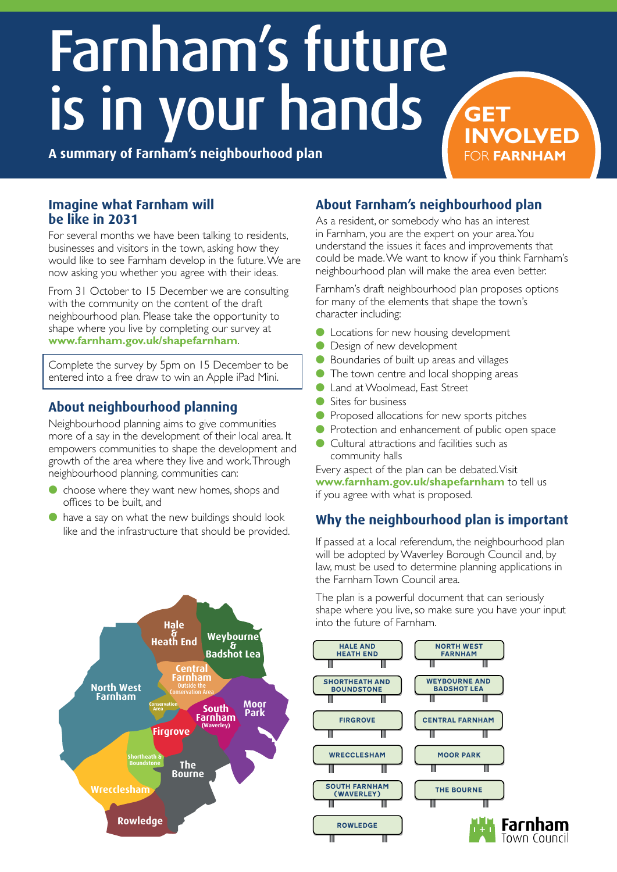# Farnham's future is in your hands

**A summary of Farnham's neighbourhood plan**

#### **Imagine what Farnham will be like in 2031**

For several months we have been talking to residents, businesses and visitors in the town, asking how they would like to see Farnham develop in the future. We are now asking you whether you agree with their ideas.

From 31 October to 15 December we are consulting with the community on the content of the draft neighbourhood plan. Please take the opportunity to shape where you live by completing our survey at **www.farnham.gov.uk/shapefarnham**.

Complete the survey by 5pm on 15 December to be entered into a free draw to win an Apple iPad Mini.

# **About neighbourhood planning**

Neighbourhood planning aims to give communities more of a say in the development of their local area. It empowers communities to shape the development and growth of the area where they live and work. Through neighbourhood planning, communities can:

- choose where they want new homes, shops and offices to be built, and
- have a say on what the new buildings should look like and the infrastructure that should be provided.



# **About Farnham's neighbourhood plan**

As a resident, or somebody who has an interest in Farnham, you are the expert on your area. You understand the issues it faces and improvements that could be made. We want to know if you think Farnham's neighbourhood plan will make the area even better.

**INVOLVED**

FOR **FARNHAM**

Farnham's draft neighbourhood plan proposes options for many of the elements that shape the town's character including:

- **l** Locations for new housing development
- Design of new development
- Boundaries of built up areas and villages
- The town centre and local shopping areas
- Land at Woolmead, East Street
- Sites for business
- Proposed allocations for new sports pitches
- **Protection and enhancement of public open space**
- Cultural attractions and facilities such as community halls

Every aspect of the plan can be debated. Visit **www.farnham.gov.uk/shapefarnham** to tell us if you agree with what is proposed.

# **Why the neighbourhood plan is important**

If passed at a local referendum, the neighbourhood plan will be adopted by Waverley Borough Council and, by law, must be used to determine planning applications in the Farnham Town Council area.

The plan is a powerful document that can seriously shape where you live, so make sure you have your input into the future of Farnham.

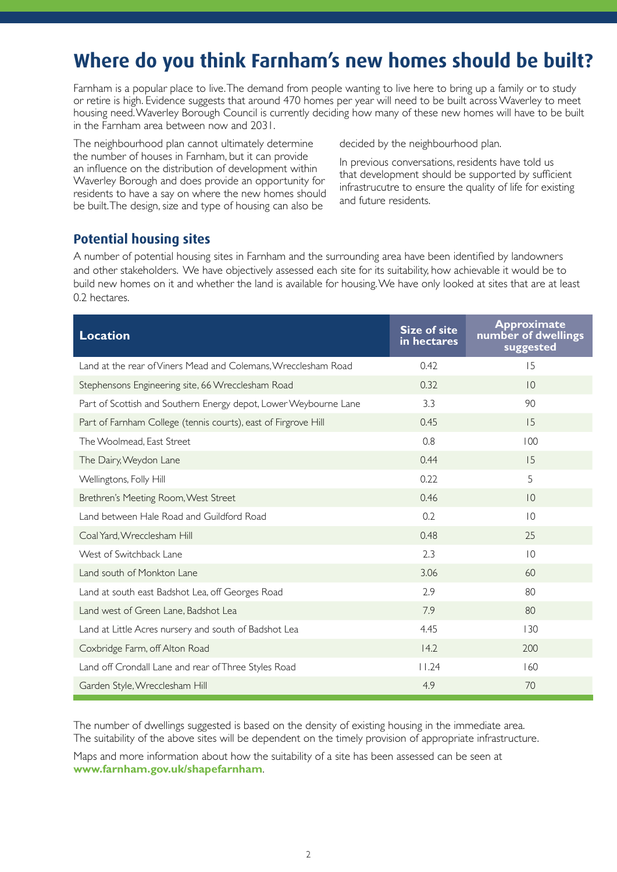# **Where do you think Farnham's new homes should be built?**

Farnham is a popular place to live. The demand from people wanting to live here to bring up a family or to study or retire is high. Evidence suggests that around 470 homes per year will need to be built across Waverley to meet housing need. Waverley Borough Council is currently deciding how many of these new homes will have to be built in the Farnham area between now and 2031.

The neighbourhood plan cannot ultimately determine the number of houses in Farnham, but it can provide an influence on the distribution of development within Waverley Borough and does provide an opportunity for residents to have a say on where the new homes should be built. The design, size and type of housing can also be

decided by the neighbourhood plan.

In previous conversations, residents have told us that development should be supported by sufficient infrastrucutre to ensure the quality of life for existing and future residents.

#### **Potential housing sites**

A number of potential housing sites in Farnham and the surrounding area have been identified by landowners and other stakeholders. We have objectively assessed each site for its suitability, how achievable it would be to build new homes on it and whether the land is available for housing. We have only looked at sites that are at least 0.2 hectares.

| <b>Location</b>                                                  | <b>Size of site</b><br>in hectares | <b>Approximate</b><br>number of dwellings<br>suggested |
|------------------------------------------------------------------|------------------------------------|--------------------------------------------------------|
| Land at the rear of Viners Mead and Colemans, Wrecclesham Road   | 0.42                               | 15                                                     |
| Stephensons Engineering site, 66 Wrecclesham Road                | 0.32                               | $\overline{0}$                                         |
| Part of Scottish and Southern Energy depot, Lower Weybourne Lane | 3.3                                | 90                                                     |
| Part of Farnham College (tennis courts), east of Firgrove Hill   | 0.45                               | 15                                                     |
| The Woolmead, East Street                                        | 0.8                                | 100                                                    |
| The Dairy, Weydon Lane                                           | 0.44                               | 15                                                     |
| Wellingtons, Folly Hill                                          | 0.22                               | 5                                                      |
| Brethren's Meeting Room, West Street                             | 0.46                               | 10                                                     |
| Land between Hale Road and Guildford Road                        | 0.2                                | 10                                                     |
| Coal Yard, Wrecclesham Hill                                      | 0.48                               | 25                                                     |
| West of Switchback Lane                                          | 2.3                                | $ 0\rangle$                                            |
| Land south of Monkton Lane                                       | 3.06                               | 60                                                     |
| Land at south east Badshot Lea, off Georges Road                 | 2.9                                | 80                                                     |
| Land west of Green Lane, Badshot Lea                             | 7.9                                | 80                                                     |
| Land at Little Acres nursery and south of Badshot Lea            | 4.45                               | 130                                                    |
| Coxbridge Farm, off Alton Road                                   | 14.2                               | 200                                                    |
| Land off Crondall Lane and rear of Three Styles Road             | 11.24                              | 160                                                    |
| Garden Style, Wrecclesham Hill                                   | 4.9                                | 70                                                     |

The number of dwellings suggested is based on the density of existing housing in the immediate area. The suitability of the above sites will be dependent on the timely provision of appropriate infrastructure.

Maps and more information about how the suitability of a site has been assessed can be seen at **www.farnham.gov.uk/shapefarnham**.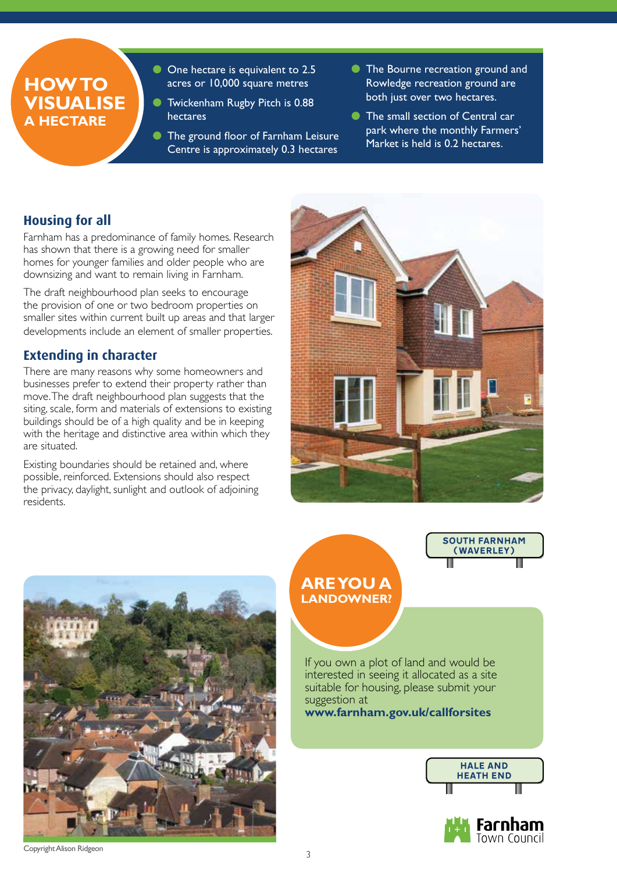# **How to visualise a hectare**

- **C** One hectare is equivalent to 2.5 acres or 10,000 square metres
- **In Twickenham Rugby Pitch is 0.88** hectares
- **In The ground floor of Farnham Leisure** Centre is approximately 0.3 hectares
- **The Bourne recreation ground and** Rowledge recreation ground are both just over two hectares.
- **In The small section of Central car** park where the monthly Farmers' Market is held is 0.2 hectares.

# **Housing for all**

Farnham has a predominance of family homes. Research has shown that there is a growing need for smaller homes for younger families and older people who are downsizing and want to remain living in Farnham.

The draft neighbourhood plan seeks to encourage the provision of one or two bedroom properties on smaller sites within current built up areas and that larger developments include an element of smaller properties.

# **Extending in character**

There are many reasons why some homeowners and businesses prefer to extend their property rather than move. The draft neighbourhood plan suggests that the siting, scale, form and materials of extensions to existing buildings should be of a high quality and be in keeping with the heritage and distinctive area within which they are situated.

Existing boundaries should be retained and, where possible, reinforced. Extensions should also respect the privacy, daylight, sunlight and outlook of adjoining residents.



South Farnham (Waverley)



# **Are you a landowner?**

If you own a plot of land and would be interested in seeing it allocated as a site suitable for housing, please submit your suggestion at

**www.farnham.gov.uk/callforsites**



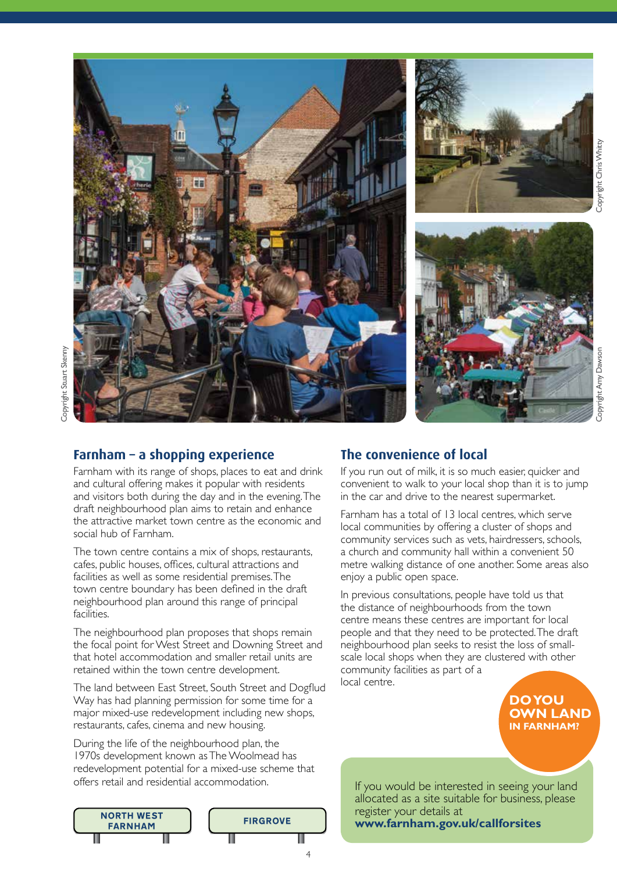

#### **Farnham – a shopping experience**

Farnham with its range of shops, places to eat and drink and cultural offering makes it popular with residents and visitors both during the day and in the evening. The draft neighbourhood plan aims to retain and enhance the attractive market town centre as the economic and social hub of Farnham.

The town centre contains a mix of shops, restaurants, cafes, public houses, offices, cultural attractions and facilities as well as some residential premises. The town centre boundary has been defined in the draft neighbourhood plan around this range of principal facilities.

The neighbourhood plan proposes that shops remain the focal point for West Street and Downing Street and that hotel accommodation and smaller retail units are retained within the town centre development.

The land between East Street, South Street and Dogflud Way has had planning permission for some time for a major mixed-use redevelopment including new shops, restaurants, cafes, cinema and new housing.

During the life of the neighbourhood plan, the 1970s development known as The Woolmead has redevelopment potential for a mixed-use scheme that offers retail and residential accommodation.



4

# **The convenience of local**

If you run out of milk, it is so much easier, quicker and convenient to walk to your local shop than it is to jump in the car and drive to the nearest supermarket.

Farnham has a total of 13 local centres, which serve local communities by offering a cluster of shops and community services such as vets, hairdressers, schools, a church and community hall within a convenient 50 metre walking distance of one another. Some areas also enjoy a public open space.

In previous consultations, people have told us that the distance of neighbourhoods from the town centre means these centres are important for local people and that they need to be protected. The draft neighbourhood plan seeks to resist the loss of smallscale local shops when they are clustered with other community facilities as part of a local centre.

> **Do you own land in Farnham?**

If you would be interested in seeing your land allocated as a site suitable for business, please register your details at **www.farnham.gov.uk/callforsites**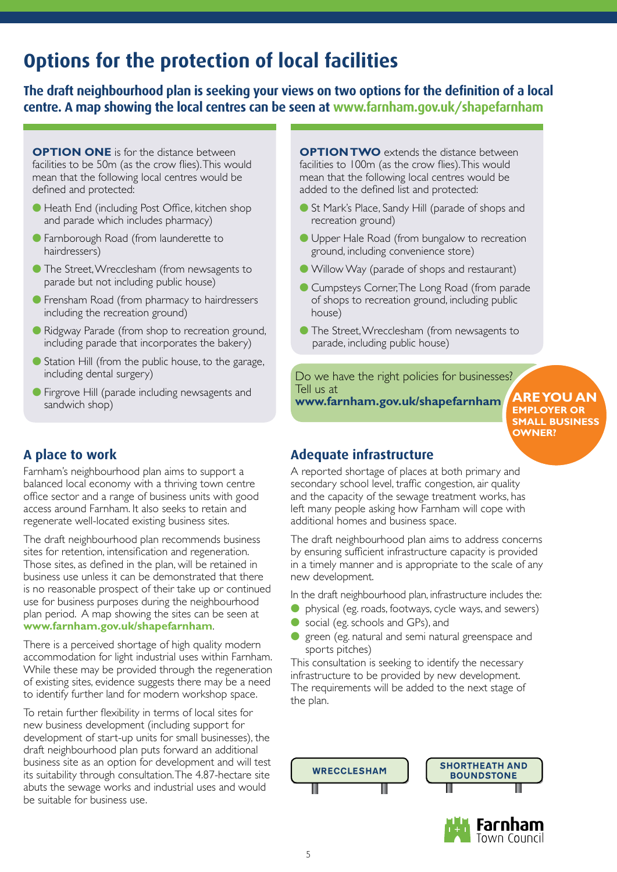# **Options for the protection of local facilities**

**The draft neighbourhood plan is seeking your views on two options for the definition of a local centre. A map showing the local centres can be seen at www.farnham.gov.uk/shapefarnham**

**OPTION ONE** is for the distance between facilities to be 50m (as the crow flies). This would mean that the following local centres would be defined and protected:

- Heath End (including Post Office, kitchen shop and parade which includes pharmacy)
- l Farnborough Road (from launderette to hairdressers)
- **The Street, Wrecclesham (from newsagents to** parade but not including public house)
- **•** Frensham Road (from pharmacy to hairdressers including the recreation ground)
- **Ridgway Parade (from shop to recreation ground,** including parade that incorporates the bakery)
- Station Hill (from the public house, to the garage, including dental surgery)
- **•** Firgrove Hill (parade including newsagents and sandwich shop)

**OPTION TWO** extends the distance between facilities to 100m (as the crow flies). This would mean that the following local centres would be added to the defined list and protected:

- St Mark's Place, Sandy Hill (parade of shops and recreation ground)
- **I** Upper Hale Road (from bungalow to recreation ground, including convenience store)
- l Willow Way (parade of shops and restaurant)
- **Cumpsteys Corner, The Long Road (from parade)** of shops to recreation ground, including public house)
- **The Street, Wrecclesham (from newsagents to** parade, including public house)

Do we have the right policies for businesses? Tell us at **www.farnham.gov.uk/shapefarnham**

**Are you aN employer or small business owner?**

#### **Adequate infrastructure**

A reported shortage of places at both primary and secondary school level, traffic congestion, air quality and the capacity of the sewage treatment works, has left many people asking how Farnham will cope with additional homes and business space.

The draft neighbourhood plan aims to address concerns by ensuring sufficient infrastructure capacity is provided in a timely manner and is appropriate to the scale of any new development.

In the draft neighbourhood plan, infrastructure includes the:

- physical (eg. roads, footways, cycle ways, and sewers)
- social (eg. schools and GPs), and
- green (eg. natural and semi natural greenspace and sports pitches)

This consultation is seeking to identify the necessary infrastructure to be provided by new development. The requirements will be added to the next stage of the plan.





# **A place to work**

Farnham's neighbourhood plan aims to support a balanced local economy with a thriving town centre office sector and a range of business units with good access around Farnham. It also seeks to retain and regenerate well-located existing business sites.

The draft neighbourhood plan recommends business sites for retention, intensification and regeneration. Those sites, as defined in the plan, will be retained in business use unless it can be demonstrated that there is no reasonable prospect of their take up or continued use for business purposes during the neighbourhood plan period. A map showing the sites can be seen at **www.farnham.gov.uk/shapefarnham**.

There is a perceived shortage of high quality modern accommodation for light industrial uses within Farnham. While these may be provided through the regeneration of existing sites, evidence suggests there may be a need to identify further land for modern workshop space.

To retain further flexibility in terms of local sites for new business development (including support for development of start-up units for small businesses), the draft neighbourhood plan puts forward an additional business site as an option for development and will test its suitability through consultation. The 4.87-hectare site abuts the sewage works and industrial uses and would be suitable for business use.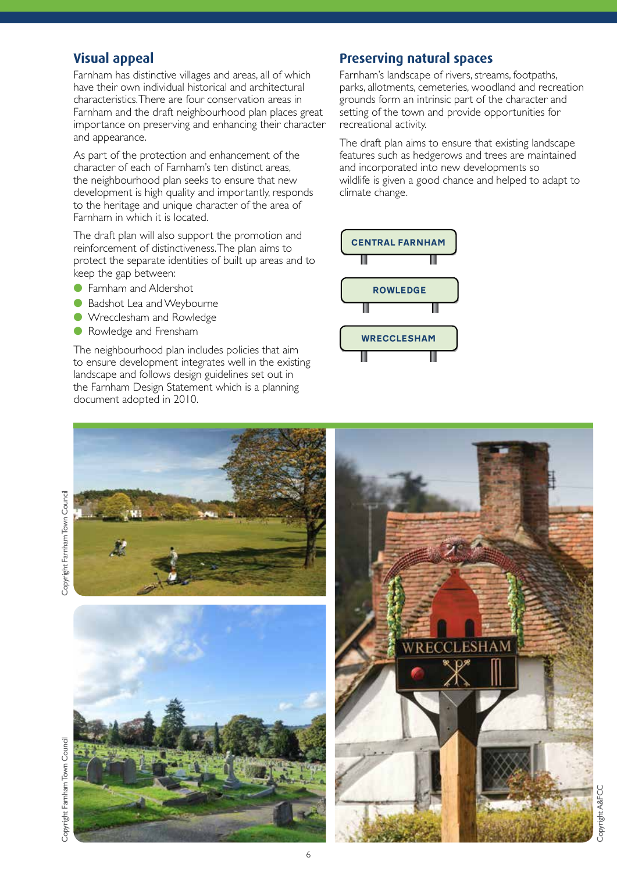#### **Visual appeal**

Farnham has distinctive villages and areas, all of which have their own individual historical and architectural characteristics. There are four conservation areas in Farnham and the draft neighbourhood plan places great importance on preserving and enhancing their character and appearance.

As part of the protection and enhancement of the character of each of Farnham's ten distinct areas, the neighbourhood plan seeks to ensure that new development is high quality and importantly, responds to the heritage and unique character of the area of Farnham in which it is located.

The draft plan will also support the promotion and reinforcement of distinctiveness. The plan aims to protect the separate identities of built up areas and to keep the gap between:

- **C** Farnham and Aldershot
- **Badshot Lea and Weybourne**
- **I** Wrecclesham and Rowledge
- **C** Rowledge and Frensham

The neighbourhood plan includes policies that aim to ensure development integrates well in the existing landscape and follows design guidelines set out in the Farnham Design Statement which is a planning document adopted in 2010.

#### **Preserving natural spaces**

Farnham's landscape of rivers, streams, footpaths, parks, allotments, cemeteries, woodland and recreation grounds form an intrinsic part of the character and setting of the town and provide opportunities for recreational activity.

The draft plan aims to ensure that existing landscape features such as hedgerows and trees are maintained and incorporated into new developments so wildlife is given a good chance and helped to adapt to climate change.



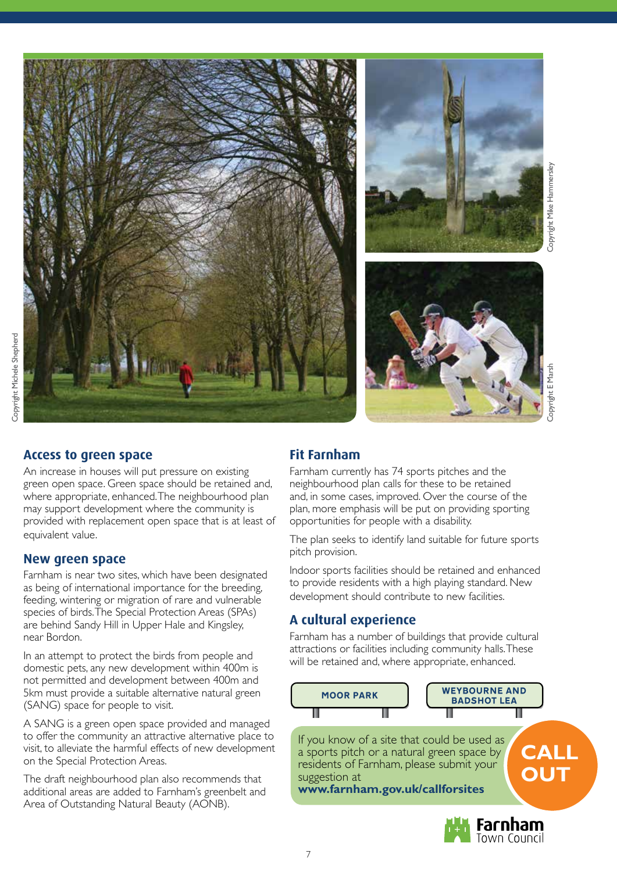

#### **Access to green space**

An increase in houses will put pressure on existing green open space. Green space should be retained and, where appropriate, enhanced. The neighbourhood plan may support development where the community is provided with replacement open space that is at least of equivalent value.

#### **New green space**

Farnham is near two sites, which have been designated as being of international importance for the breeding, feeding, wintering or migration of rare and vulnerable species of birds. The Special Protection Areas (SPAs) are behind Sandy Hill in Upper Hale and Kingsley, near Bordon.

In an attempt to protect the birds from people and domestic pets, any new development within 400m is not permitted and development between 400m and 5km must provide a suitable alternative natural green (SANG) space for people to visit.

A SANG is a green open space provided and managed to offer the community an attractive alternative place to visit, to alleviate the harmful effects of new development on the Special Protection Areas.

The draft neighbourhood plan also recommends that additional areas are added to Farnham's greenbelt and Area of Outstanding Natural Beauty (AONB).

#### **Fit Farnham**

Farnham currently has 74 sports pitches and the neighbourhood plan calls for these to be retained and, in some cases, improved. Over the course of the plan, more emphasis will be put on providing sporting opportunities for people with a disability.

The plan seeks to identify land suitable for future sports pitch provision.

Indoor sports facilities should be retained and enhanced to provide residents with a high playing standard. New development should contribute to new facilities.

#### **A cultural experience**

Farnham has a number of buildings that provide cultural attractions or facilities including community halls. These will be retained and, where appropriate, enhanced.